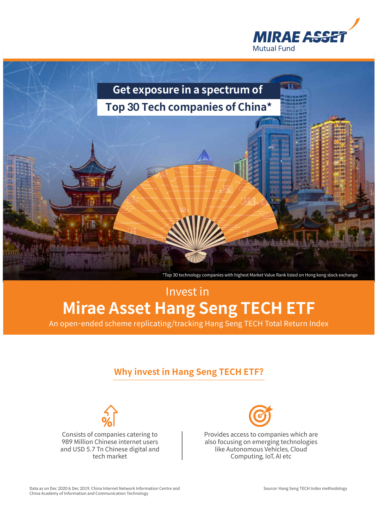



# Invest in **Mirae Asset Hang Seng TECH ETF**

An open-ended scheme replicating/tracking Hang Seng TECH Total Return Index

## **Why invest in Hang Seng TECH ETF?**



Consists of companies catering to 989 Million Chinese internet users and USD 5.7 Tn Chinese digital and tech market



Provides access to companies which are also focusing on emerging technologies like Autonomous Vehicles, Cloud Computing, IoT, AI etc

Data as on Dec 2020 & Dec 2019, China Internet Network Information Centre and China Academy of Information and Communication Technology

Source: Hang Seng TECH Index methodology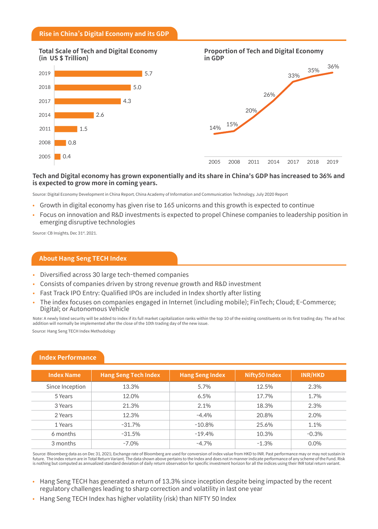#### **Rise in China's Digital Economy and its GDP**

#### **Total Scale of Tech and Digital Economy (in US \$ Trillion)**





#### **Tech and Digital economy has grown exponentially and its share in China's GDP has increased to 36% and is expected to grow more in coming years.**

Source: Digital Economy Development in China Report, China Academy of Information and Communication Technology, July 2020 Report

- Growth in digital economy has given rise to 165 unicorns and this growth is expected to continue
- Focus on innovation and R&D investments is expected to propel Chinese companies to leadership position in emerging disruptive technologies

Source: CB Insights, Dec 31st, 2021.

#### **About Hang Seng TECH Index**

- Diversified across 30 large tech-themed companies
- Consists of companies driven by strong revenue growth and R&D investment
- Fast Track IPO Entry: Qualified IPOs are included in Index shortly after listing
- The index focuses on companies engaged in Internet (including mobile); FinTech; Cloud; E-Commerce; Digital; or Autonomous Vehicle

Note: A newly listed security will be added to index if its full market capitalization ranks within the top 10 of the existing constituents on its first trading day. The ad hoc addition will normally be implemented after the close of the 10th trading day of the new issue.

Source: Hang Seng TECH Index Methodology

| <b>Index Name</b> | <b>Hang Seng Tech Index</b> | <b>Hang Seng Index</b> | Nifty50 Index | <b>INR/HKD</b> |
|-------------------|-----------------------------|------------------------|---------------|----------------|
| Since Inception   | 13.3%                       | 5.7%                   | 12.5%         | 2.3%           |
| 5 Years           | 12.0%                       | 6.5%                   | 17.7%         | 1.7%           |
| 3 Years           | 21.3%                       | 2.1%                   | 18.3%         | 2.3%           |
| 2 Years           | 12.3%                       | $-4.4%$                | 20.8%         | 2.0%           |
| 1 Years           | $-31.7%$                    | $-10.8%$               | 25.6%         | 1.1%           |
| 6 months          | $-31.5%$                    | $-19.4%$               | 10.3%         | $-0.3%$        |
| 3 months          | $-7.0\%$                    | $-4.7\%$               | $-1.3%$       | $0.0\%$        |

#### **Index Performance**

Source: Bloomberg data as on Dec 31, 2021; Exchange rate of Bloomberg are used for conversion of index value from HKD to INR. Past performance may or may not sustain in future. The index return are in Total Return Variant. The data shown above pertains to the Index and does not in manner indicate performance of any scheme of the Fund. Risk is nothing but computed as annualized standard deviation of daily return observation for specific investment horizon for all the indices using their INR total return variant.

- Hang Seng TECH has generated a return of 13.3% since inception despite being impacted by the recent regulatory challenges leading to sharp correction and volatility in last one year
- Hang Seng TECH Index has higher volatility (risk) than NIFTY 50 Index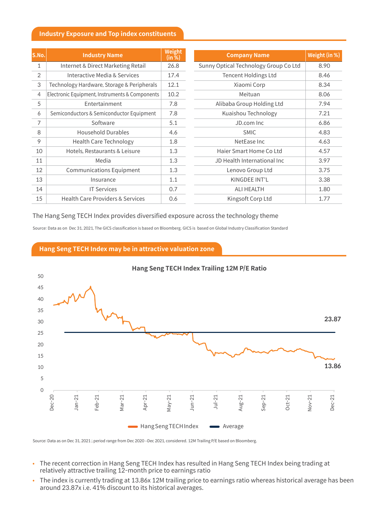#### **Industry Exposure and Top index constituents**

| S.No.          | <b>Industry Name</b>                           | <b>Weight</b><br>(in %) | <b>Company Name</b>                   | Weight (in %) |
|----------------|------------------------------------------------|-------------------------|---------------------------------------|---------------|
| $\mathbf{1}$   | Internet & Direct Marketing Retail             | 26.8                    | Sunny Optical Technology Group Co Ltd | 8.90          |
| 2              | Interactive Media & Services                   | 17.4                    | <b>Tencent Holdings Ltd</b>           | 8.46          |
| 3              | Technology Hardware, Storage & Peripherals     | 12.1                    | Xiaomi Corp                           | 8.34          |
| $\overline{4}$ | Electronic Equipment, Instruments & Components | 10.2                    | Meituan                               | 8.06          |
| 5              | Entertainment                                  | 7.8                     | Alibaba Group Holding Ltd             | 7.94          |
| 6              | Semiconductors & Semiconductor Equipment       | 7.8                     | Kuaishou Technology                   | 7.21          |
| 7              | Software                                       | 5.1                     | JD.com Inc                            | 6.86          |
| 8              | <b>Household Durables</b>                      | 4.6                     | <b>SMIC</b>                           | 4.83          |
| 9              | <b>Health Care Technology</b>                  | 1.8                     | NetEase Inc                           | 4.63          |
| 10             | Hotels, Restaurants & Leisure                  | 1.3                     | Haier Smart Home Co Ltd               | 4.57          |
| 11             | Media                                          | 1.3                     | JD Health International Inc           | 3.97          |
| 12             | <b>Communications Equipment</b>                | 1.3                     | Lenovo Group Ltd                      | 3.75          |
| 13             | Insurance                                      | 1.1                     | KINGDEE INT'L                         | 3.38          |
| 14             | <b>IT Services</b>                             | 0.7                     | <b>ALI HEALTH</b>                     | 1.80          |
| 15             | <b>Health Care Providers &amp; Services</b>    | 0.6                     | Kingsoft Corp Ltd                     | 1.77          |

#### The Hang Seng TECH Index provides diversified exposure across the technology theme

Source: Data as on Dec 31, 2021, The GICS classification is based on Bloomberg. GICS is based on Global Industry Classification Standard

**Hang Seng TECH Index may be in attractive valuation zone**



Source: Data as on Dec 31, 2021 ; period range from Dec 2020 -Dec 2021, considered. 12M Trailing P/E based on Bloomberg.

- The recent correction in Hang Seng TECH Index has resulted in Hang Seng TECH Index being trading at relatively attractive trailing 12-month price to earnings ratio
- The index is currently trading at 13.86x 12M trailing price to earnings ratio whereas historical average has been around 23.87x i.e. 41% discount to its historical averages.